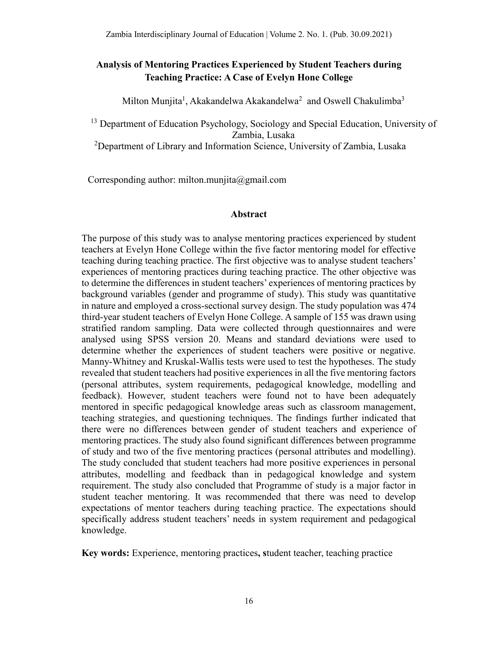# **Analysis of Mentoring Practices Experienced by Student Teachers during Teaching Practice: A Case of Evelyn Hone College**

Milton Munjita<sup>1</sup>, Akakandelwa Akakandelwa<sup>2</sup> and Oswell Chakulimba<sup>3</sup>

<sup>13</sup> Department of Education Psychology, Sociology and Special Education, University of Zambia, Lusaka

<sup>2</sup>Department of Library and Information Science, University of Zambia, Lusaka

Corresponding author: milton.munjita@gmail.com

### **Abstract**

The purpose of this study was to analyse mentoring practices experienced by student teachers at Evelyn Hone College within the five factor mentoring model for effective teaching during teaching practice. The first objective was to analyse student teachers' experiences of mentoring practices during teaching practice. The other objective was to determine the differences in student teachers' experiences of mentoring practices by background variables (gender and programme of study). This study was quantitative in nature and employed a cross-sectional survey design. The study population was 474 third-year student teachers of Evelyn Hone College. A sample of 155 was drawn using stratified random sampling. Data were collected through questionnaires and were analysed using SPSS version 20. Means and standard deviations were used to determine whether the experiences of student teachers were positive or negative. Manny-Whitney and Kruskal-Wallis tests were used to test the hypotheses. The study revealed that student teachers had positive experiences in all the five mentoring factors (personal attributes, system requirements, pedagogical knowledge, modelling and feedback). However, student teachers were found not to have been adequately mentored in specific pedagogical knowledge areas such as classroom management, teaching strategies, and questioning techniques. The findings further indicated that there were no differences between gender of student teachers and experience of mentoring practices. The study also found significant differences between programme of study and two of the five mentoring practices (personal attributes and modelling). The study concluded that student teachers had more positive experiences in personal attributes, modelling and feedback than in pedagogical knowledge and system requirement. The study also concluded that Programme of study is a major factor in student teacher mentoring. It was recommended that there was need to develop expectations of mentor teachers during teaching practice. The expectations should specifically address student teachers' needs in system requirement and pedagogical knowledge.

**Key words:** Experience, mentoring practices**, s**tudent teacher, teaching practice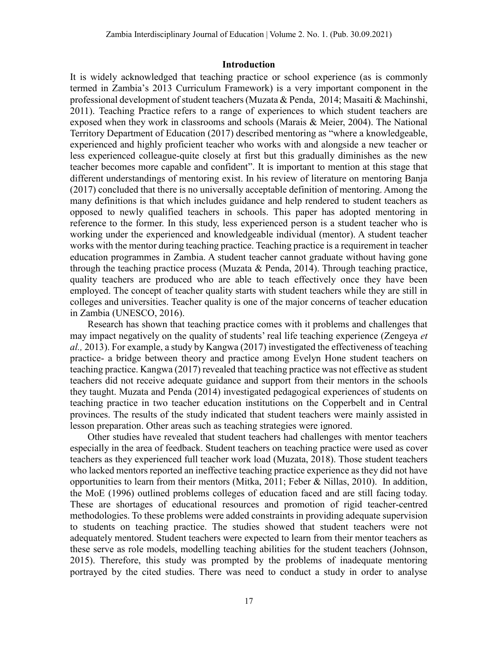#### **Introduction**

It is widely acknowledged that teaching practice or school experience (as is commonly termed in Zambia's 2013 Curriculum Framework) is a very important component in the professional development of student teachers (Muzata & Penda, 2014; Masaiti & Machinshi, 2011). Teaching Practice refers to a range of experiences to which student teachers are exposed when they work in classrooms and schools (Marais & Meier, 2004). The National Territory Department of Education (2017) described mentoring as "where a knowledgeable, experienced and highly proficient teacher who works with and alongside a new teacher or less experienced colleague-quite closely at first but this gradually diminishes as the new teacher becomes more capable and confident". It is important to mention at this stage that different understandings of mentoring exist. In his review of literature on mentoring Banja (2017) concluded that there is no universally acceptable definition of mentoring. Among the many definitions is that which includes guidance and help rendered to student teachers as opposed to newly qualified teachers in schools. This paper has adopted mentoring in reference to the former. In this study, less experienced person is a student teacher who is working under the experienced and knowledgeable individual (mentor). A student teacher works with the mentor during teaching practice. Teaching practice is a requirement in teacher education programmes in Zambia. A student teacher cannot graduate without having gone through the teaching practice process (Muzata & Penda, 2014). Through teaching practice, quality teachers are produced who are able to teach effectively once they have been employed. The concept of teacher quality starts with student teachers while they are still in colleges and universities. Teacher quality is one of the major concerns of teacher education in Zambia (UNESCO, 2016).

Research has shown that teaching practice comes with it problems and challenges that may impact negatively on the quality of students' real life teaching experience (Zengeya *et al.,* 2013). For example, a study by Kangwa (2017) investigated the effectiveness of teaching practice- a bridge between theory and practice among Evelyn Hone student teachers on teaching practice. Kangwa (2017) revealed that teaching practice was not effective as student teachers did not receive adequate guidance and support from their mentors in the schools they taught. Muzata and Penda (2014) investigated pedagogical experiences of students on teaching practice in two teacher education institutions on the Copperbelt and in Central provinces. The results of the study indicated that student teachers were mainly assisted in lesson preparation. Other areas such as teaching strategies were ignored.

Other studies have revealed that student teachers had challenges with mentor teachers especially in the area of feedback. Student teachers on teaching practice were used as cover teachers as they experienced full teacher work load (Muzata, 2018). Those student teachers who lacked mentors reported an ineffective teaching practice experience as they did not have opportunities to learn from their mentors (Mitka, 2011; Feber & Nillas, 2010). In addition, the MoE (1996) outlined problems colleges of education faced and are still facing today. These are shortages of educational resources and promotion of rigid teacher-centred methodologies. To these problems were added constraints in providing adequate supervision to students on teaching practice. The studies showed that student teachers were not adequately mentored. Student teachers were expected to learn from their mentor teachers as these serve as role models, modelling teaching abilities for the student teachers (Johnson, 2015). Therefore, this study was prompted by the problems of inadequate mentoring portrayed by the cited studies. There was need to conduct a study in order to analyse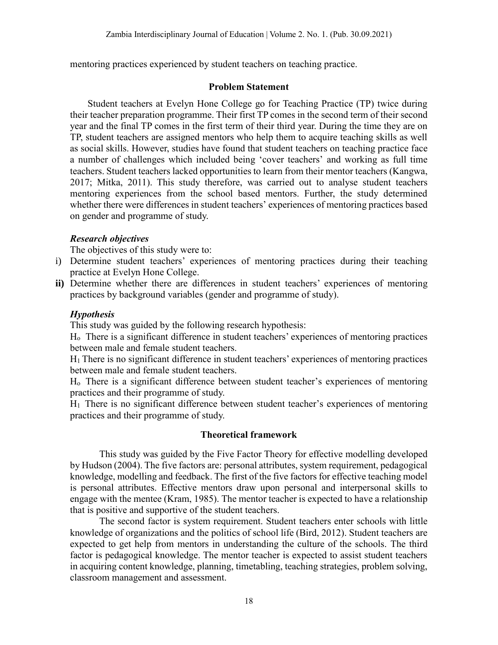mentoring practices experienced by student teachers on teaching practice.

# **Problem Statement**

Student teachers at Evelyn Hone College go for Teaching Practice (TP) twice during their teacher preparation programme. Their first TP comes in the second term of their second year and the final TP comes in the first term of their third year. During the time they are on TP, student teachers are assigned mentors who help them to acquire teaching skills as well as social skills. However, studies have found that student teachers on teaching practice face a number of challenges which included being 'cover teachers' and working as full time teachers. Student teachers lacked opportunities to learn from their mentor teachers (Kangwa, 2017; Mitka, 2011). This study therefore, was carried out to analyse student teachers mentoring experiences from the school based mentors. Further, the study determined whether there were differences in student teachers' experiences of mentoring practices based on gender and programme of study.

# *Research objectives*

The objectives of this study were to:

- i) Determine student teachers' experiences of mentoring practices during their teaching practice at Evelyn Hone College.
- **ii)** Determine whether there are differences in student teachers' experiences of mentoring practices by background variables (gender and programme of study).

# *Hypothesis*

This study was guided by the following research hypothesis:

Ho There is a significant difference in student teachers' experiences of mentoring practices between male and female student teachers.

 $H_1$  There is no significant difference in student teachers' experiences of mentoring practices between male and female student teachers.

Ho There is a significant difference between student teacher's experiences of mentoring practices and their programme of study.

 $H_1$  There is no significant difference between student teacher's experiences of mentoring practices and their programme of study.

# **Theoretical framework**

This study was guided by the Five Factor Theory for effective modelling developed by Hudson (2004). The five factors are: personal attributes, system requirement, pedagogical knowledge, modelling and feedback. The first of the five factors for effective teaching model is personal attributes. Effective mentors draw upon personal and interpersonal skills to engage with the mentee (Kram, 1985). The mentor teacher is expected to have a relationship that is positive and supportive of the student teachers.

The second factor is system requirement. Student teachers enter schools with little knowledge of organizations and the politics of school life (Bird, 2012). Student teachers are expected to get help from mentors in understanding the culture of the schools. The third factor is pedagogical knowledge. The mentor teacher is expected to assist student teachers in acquiring content knowledge, planning, timetabling, teaching strategies, problem solving, classroom management and assessment.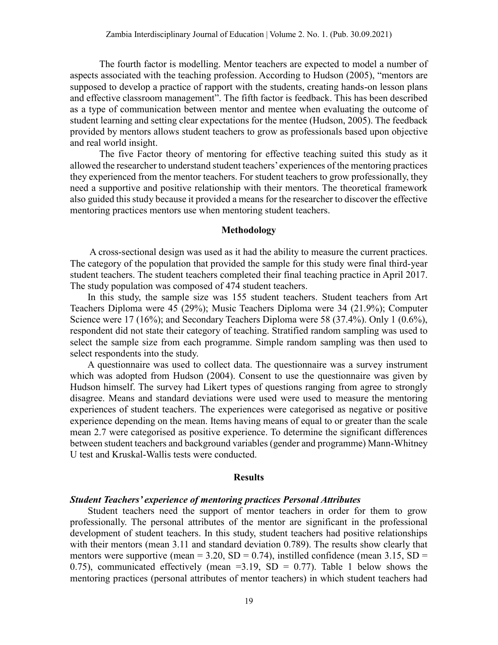The fourth factor is modelling. Mentor teachers are expected to model a number of aspects associated with the teaching profession. According to Hudson (2005), "mentors are supposed to develop a practice of rapport with the students, creating hands-on lesson plans and effective classroom management". The fifth factor is feedback. This has been described as a type of communication between mentor and mentee when evaluating the outcome of student learning and setting clear expectations for the mentee (Hudson, 2005). The feedback provided by mentors allows student teachers to grow as professionals based upon objective and real world insight.

The five Factor theory of mentoring for effective teaching suited this study as it allowed the researcher to understand student teachers' experiences of the mentoring practices they experienced from the mentor teachers. For student teachers to grow professionally, they need a supportive and positive relationship with their mentors. The theoretical framework also guided this study because it provided a means for the researcher to discover the effective mentoring practices mentors use when mentoring student teachers.

#### **Methodology**

 A cross-sectional design was used as it had the ability to measure the current practices. The category of the population that provided the sample for this study were final third-year student teachers. The student teachers completed their final teaching practice in April 2017. The study population was composed of 474 student teachers.

In this study, the sample size was 155 student teachers. Student teachers from Art Teachers Diploma were 45 (29%); Music Teachers Diploma were 34 (21.9%); Computer Science were 17 (16%); and Secondary Teachers Diploma were 58 (37.4%). Only 1 (0.6%), respondent did not state their category of teaching. Stratified random sampling was used to select the sample size from each programme. Simple random sampling was then used to select respondents into the study.

A questionnaire was used to collect data. The questionnaire was a survey instrument which was adopted from Hudson (2004). Consent to use the questionnaire was given by Hudson himself. The survey had Likert types of questions ranging from agree to strongly disagree. Means and standard deviations were used were used to measure the mentoring experiences of student teachers. The experiences were categorised as negative or positive experience depending on the mean. Items having means of equal to or greater than the scale mean 2.7 were categorised as positive experience. To determine the significant differences between student teachers and background variables (gender and programme) Mann-Whitney U test and Kruskal-Wallis tests were conducted.

#### **Results**

#### *Student Teachers' experience of mentoring practices Personal Attributes*

Student teachers need the support of mentor teachers in order for them to grow professionally. The personal attributes of the mentor are significant in the professional development of student teachers. In this study, student teachers had positive relationships with their mentors (mean 3.11 and standard deviation 0.789). The results show clearly that mentors were supportive (mean =  $3.20$ , SD =  $0.74$ ), instilled confidence (mean  $3.15$ , SD = 0.75), communicated effectively (mean =3.19, SD = 0.77). Table 1 below shows the mentoring practices (personal attributes of mentor teachers) in which student teachers had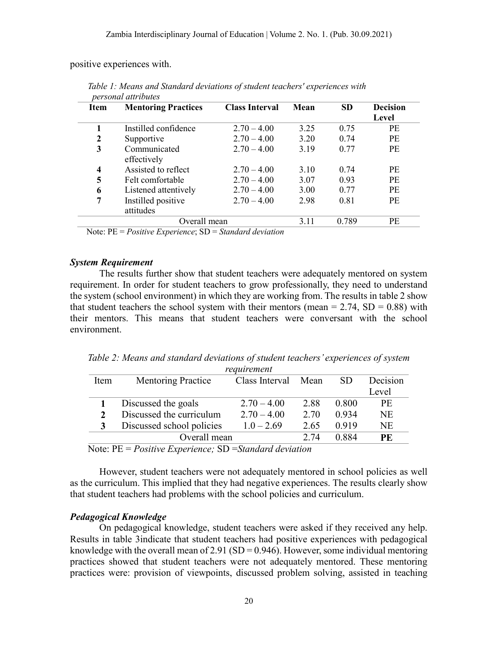positive experiences with.

| <b>Item</b> | <b>Mentoring Practices</b>      | <b>Class Interval</b> | Mean | <b>SD</b> | <b>Decision</b><br>Level |
|-------------|---------------------------------|-----------------------|------|-----------|--------------------------|
|             | Instilled confidence            | $2.70 - 4.00$         | 3.25 | 0.75      | <b>PE</b>                |
| 2           | Supportive                      | $2.70 - 4.00$         | 3.20 | 0.74      | <b>PE</b>                |
| 3           | Communicated<br>effectively     | $2.70 - 4.00$         | 3.19 | 0.77      | <b>PE</b>                |
| 4           | Assisted to reflect             | $2.70 - 4.00$         | 3.10 | 0.74      | <b>PE</b>                |
| 5           | Felt comfortable                | $2.70 - 4.00$         | 3.07 | 0.93      | PE                       |
| 6           | Listened attentively            | $2.70 - 4.00$         | 3.00 | 0.77      | PE                       |
| 7           | Instilled positive<br>attitudes | $2.70 - 4.00$         | 2.98 | 0.81      | <b>PE</b>                |
|             | Overall mean                    |                       | 3.11 | 0.789     | PE                       |

 *Table 1: Means and Standard deviations of student teachers' experiences with personal attributes*

Note: PE = *Positive Experience*; SD = *Standard deviation*

### *System Requirement*

The results further show that student teachers were adequately mentored on system requirement. In order for student teachers to grow professionally, they need to understand the system (school environment) in which they are working from. The results in table 2 show that student teachers the school system with their mentors (mean  $= 2.74$ , SD  $= 0.88$ ) with their mentors. This means that student teachers were conversant with the school environment.

*Table 2: Means and standard deviations of student teachers' experiences of system requirement*

| Item | <b>Mentoring Practice</b> | Class Interval Mean |      | SD.   | Decision |
|------|---------------------------|---------------------|------|-------|----------|
|      |                           |                     |      |       | Level    |
|      | Discussed the goals       | $2.70 - 4.00$       | 2.88 | 0.800 | PЕ       |
|      | Discussed the curriculum  | $2.70 - 4.00$       | 2.70 | 0.934 | NE       |
| 3    | Discussed school policies | $1.0 - 2.69$        | 2.65 | 0.919 | NE       |
|      | Overall mean              |                     | 2.74 | 0.884 | PE       |

Note: PE = *Positive Experience;* SD =*Standard deviation*

However, student teachers were not adequately mentored in school policies as well as the curriculum. This implied that they had negative experiences. The results clearly show that student teachers had problems with the school policies and curriculum.

## *Pedagogical Knowledge*

On pedagogical knowledge, student teachers were asked if they received any help. Results in table 3indicate that student teachers had positive experiences with pedagogical knowledge with the overall mean of  $2.91$  (SD = 0.946). However, some individual mentoring practices showed that student teachers were not adequately mentored. These mentoring practices were: provision of viewpoints, discussed problem solving, assisted in teaching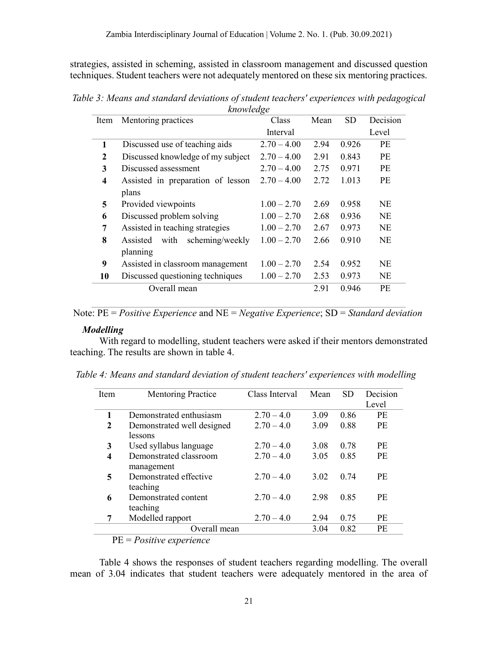strategies, assisted in scheming, assisted in classroom management and discussed question techniques. Student teachers were not adequately mentored on these six mentoring practices.

*Table 3: Means and standard deviations of student teachers' experiences with pedagogical knowledge*

| Item | Mentoring practices               | Class         | Mean | <b>SD</b> | Decision  |
|------|-----------------------------------|---------------|------|-----------|-----------|
|      |                                   | Interval      |      |           | Level     |
| 1    | Discussed use of teaching aids    | $2.70 - 4.00$ | 2.94 | 0.926     | PE        |
| 2    | Discussed knowledge of my subject | $2.70 - 4.00$ | 2.91 | 0.843     | PE        |
| 3    | Discussed assessment              | $2.70 - 4.00$ | 2.75 | 0.971     | PE        |
| 4    | Assisted in preparation of lesson | $2.70 - 4.00$ | 2.72 | 1.013     | PE        |
|      | plans                             |               |      |           |           |
| 5    | Provided viewpoints               | $1.00 - 2.70$ | 2.69 | 0.958     | <b>NE</b> |
| 6    | Discussed problem solving         | $1.00 - 2.70$ | 2.68 | 0.936     | <b>NE</b> |
| 7    | Assisted in teaching strategies   | $1.00 - 2.70$ | 2.67 | 0.973     | <b>NE</b> |
| 8    | with scheming/weekly<br>Assisted  | $1.00 - 2.70$ | 2.66 | 0.910     | <b>NE</b> |
|      | planning                          |               |      |           |           |
| 9    | Assisted in classroom management  | $1.00 - 2.70$ | 2.54 | 0.952     | <b>NE</b> |
| 10   | Discussed questioning techniques  | $1.00 - 2.70$ | 2.53 | 0.973     | <b>NE</b> |
|      | Overall mean                      |               | 2.91 | 0.946     | PE        |
|      |                                   |               |      |           |           |

Note: PE = *Positive Experience* and NE = *Negative Experience*; SD = *Standard deviation*

#### *Modelling*

With regard to modelling, student teachers were asked if their mentors demonstrated teaching. The results are shown in table 4.

| Table 4: Means and standard deviation of student teachers' experiences with modelling |  |  |  |
|---------------------------------------------------------------------------------------|--|--|--|

| Item                    | <b>Mentoring Practice</b>         | Class Interval | Mean | <b>SD</b> | Decision |
|-------------------------|-----------------------------------|----------------|------|-----------|----------|
|                         |                                   |                |      |           | Level    |
|                         | Demonstrated enthusiasm           | $2.70 - 4.0$   | 3.09 | 0.86      | PE       |
| $\mathbf{2}$            | Demonstrated well designed        | $2.70 - 4.0$   | 3.09 | 0.88      | PE       |
|                         | lessons                           |                |      |           |          |
| 3                       | Used syllabus language            | $2.70 - 4.0$   | 3.08 | 0.78      | PE       |
| $\overline{\mathbf{4}}$ | Demonstrated classroom            | $2.70 - 4.0$   | 3.05 | 0.85      | PE       |
|                         | management                        |                |      |           |          |
| 5                       | Demonstrated effective            | $2.70 - 4.0$   | 3.02 | 0.74      | PE       |
|                         | teaching                          |                |      |           |          |
| 6                       | Demonstrated content              | $2.70 - 4.0$   | 2.98 | 0.85      | PE       |
|                         | teaching                          |                |      |           |          |
|                         | Modelled rapport                  | $2.70 - 4.0$   | 2.94 | 0.75      | PE       |
|                         | Overall mean                      |                | 3.04 | 0.82      | PE       |
| <b>DE</b>               | <sub>n</sub><br>$\cdot$ . $\cdot$ |                |      |           |          |

PE = *Positive experience*

Table 4 shows the responses of student teachers regarding modelling. The overall mean of 3.04 indicates that student teachers were adequately mentored in the area of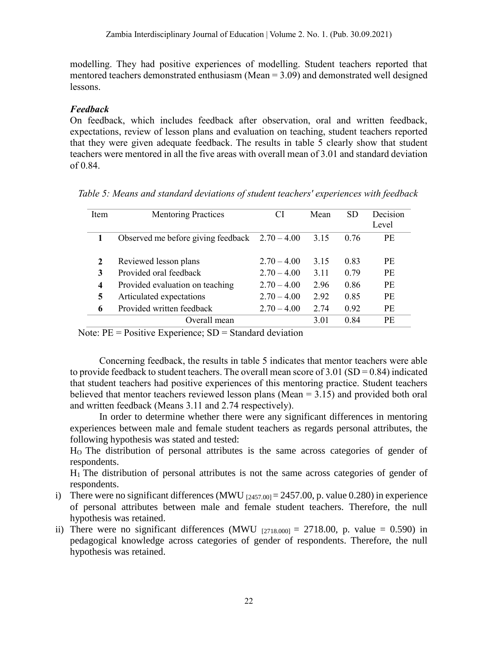modelling. They had positive experiences of modelling. Student teachers reported that mentored teachers demonstrated enthusiasm (Mean = 3.09) and demonstrated well designed lessons.

# *Feedback*

On feedback, which includes feedback after observation, oral and written feedback, expectations, review of lesson plans and evaluation on teaching, student teachers reported that they were given adequate feedback. The results in table 5 clearly show that student teachers were mentored in all the five areas with overall mean of 3.01 and standard deviation of 0.84.

| Item | <b>Mentoring Practices</b>                       | CI            | Mean | <b>SD</b> | Decision<br>Level |
|------|--------------------------------------------------|---------------|------|-----------|-------------------|
|      | Observed me before giving feedback $2.70 - 4.00$ |               | 3.15 | 0.76      | PE                |
| 2    | Reviewed lesson plans                            | $2.70 - 4.00$ | 3.15 | 0.83      | <b>PE</b>         |
| 3    | Provided oral feedback                           | $2.70 - 4.00$ | 3.11 | 0.79      | PE.               |
| 4    | Provided evaluation on teaching                  | $2.70 - 4.00$ | 2.96 | 0.86      | PE                |
| 5    | Articulated expectations                         | $2.70 - 4.00$ | 2.92 | 0.85      | PE                |
| 6    | Provided written feedback                        | $2.70 - 4.00$ | 2.74 | 0.92      | PE                |
|      | Overall mean                                     |               | 3.01 | 0.84      | PE                |

 *Table 5: Means and standard deviations of student teachers' experiences with feedback*

Note: PE = Positive Experience; SD = Standard deviation

Concerning feedback, the results in table 5 indicates that mentor teachers were able to provide feedback to student teachers. The overall mean score of  $3.01$  (SD = 0.84) indicated that student teachers had positive experiences of this mentoring practice. Student teachers believed that mentor teachers reviewed lesson plans (Mean = 3.15) and provided both oral and written feedback (Means 3.11 and 2.74 respectively).

In order to determine whether there were any significant differences in mentoring experiences between male and female student teachers as regards personal attributes, the following hypothesis was stated and tested:

HO The distribution of personal attributes is the same across categories of gender of respondents.

H1 The distribution of personal attributes is not the same across categories of gender of respondents.

- i) There were no significant differences (MWU  $_{[2457,00]} = 2457.00$ , p. value 0.280) in experience of personal attributes between male and female student teachers. Therefore, the null hypothesis was retained.
- ii) There were no significant differences (MWU  $_{[2718,000]} = 2718.00$ , p. value = 0.590) in pedagogical knowledge across categories of gender of respondents. Therefore, the null hypothesis was retained.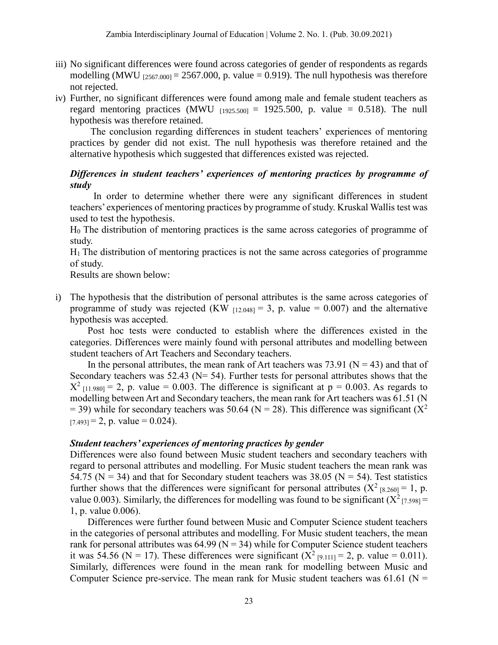- iii) No significant differences were found across categories of gender of respondents as regards modelling (MWU  $_{[2567,000]} = 2567,000$ , p. value = 0.919). The null hypothesis was therefore not rejected.
- iv) Further, no significant differences were found among male and female student teachers as regard mentoring practices (MWU  $_{[1925,500]}$  = 1925.500, p. value = 0.518). The null hypothesis was therefore retained.

The conclusion regarding differences in student teachers' experiences of mentoring practices by gender did not exist. The null hypothesis was therefore retained and the alternative hypothesis which suggested that differences existed was rejected.

# *Differences in student teachers' experiences of mentoring practices by programme of study*

In order to determine whether there were any significant differences in student teachers' experiences of mentoring practices by programme of study. Kruskal Wallis test was used to test the hypothesis.

H<sup>0</sup> The distribution of mentoring practices is the same across categories of programme of study.

 $H_1$  The distribution of mentoring practices is not the same across categories of programme of study.

Results are shown below:

i) The hypothesis that the distribution of personal attributes is the same across categories of programme of study was rejected (KW  $_{[12.048]} = 3$ , p. value = 0.007) and the alternative hypothesis was accepted.

Post hoc tests were conducted to establish where the differences existed in the categories. Differences were mainly found with personal attributes and modelling between student teachers of Art Teachers and Secondary teachers.

In the personal attributes, the mean rank of Art teachers was 73.91 ( $N = 43$ ) and that of Secondary teachers was 52.43 ( $N = 54$ ). Further tests for personal attributes shows that the  $X^2$  [11.980] = 2, p. value = 0.003. The difference is significant at p = 0.003. As regards to modelling between Art and Secondary teachers, the mean rank for Art teachers was 61.51 (N = 39) while for secondary teachers was 50.64 (N = 28). This difference was significant ( $X^2$ )  $_{[7.493]}$  = 2, p. value = 0.024).

## *Student teachers' experiences of mentoring practices by gender*

Differences were also found between Music student teachers and secondary teachers with regard to personal attributes and modelling. For Music student teachers the mean rank was 54.75 ( $N = 34$ ) and that for Secondary student teachers was 38.05 ( $N = 54$ ). Test statistics further shows that the differences were significant for personal attributes  $(X^2_{8,260]} = 1$ , p. value 0.003). Similarly, the differences for modelling was found to be significant  $(X^2_{[7.598]}$  = 1, p. value 0.006).

Differences were further found between Music and Computer Science student teachers in the categories of personal attributes and modelling. For Music student teachers, the mean rank for personal attributes was  $64.99$  (N = 34) while for Computer Science student teachers it was 54.56 (N = 17). These differences were significant ( $X^2$  [9.111] = 2, p. value = 0.011). Similarly, differences were found in the mean rank for modelling between Music and Computer Science pre-service. The mean rank for Music student teachers was  $61.61$  (N =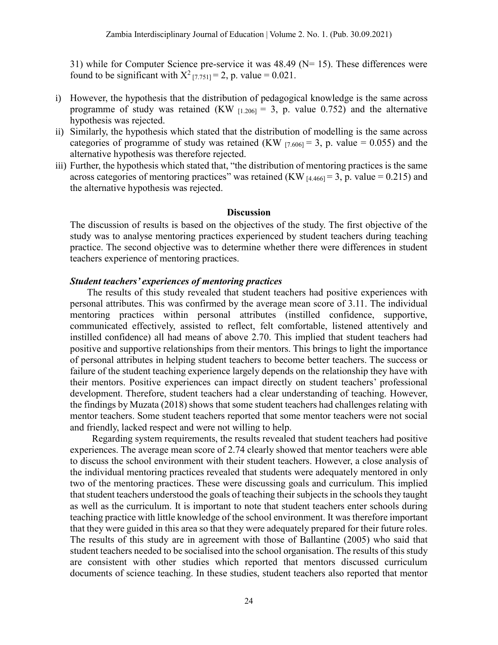31) while for Computer Science pre-service it was  $48.49$  (N= 15). These differences were found to be significant with  $X^2$  [7.751] = 2, p. value = 0.021.

- i) However, the hypothesis that the distribution of pedagogical knowledge is the same across programme of study was retained (KW  $_{[1,206]} = 3$ , p. value 0.752) and the alternative hypothesis was rejected.
- ii) Similarly, the hypothesis which stated that the distribution of modelling is the same across categories of programme of study was retained (KW  $_{[7.606]}$  = 3, p. value = 0.055) and the alternative hypothesis was therefore rejected.
- iii) Further, the hypothesis which stated that, "the distribution of mentoring practices is the same across categories of mentoring practices" was retained (KW  $_{[4.466]} = 3$ , p. value = 0.215) and the alternative hypothesis was rejected.

#### **Discussion**

The discussion of results is based on the objectives of the study. The first objective of the study was to analyse mentoring practices experienced by student teachers during teaching practice. The second objective was to determine whether there were differences in student teachers experience of mentoring practices.

#### *Student teachers' experiences of mentoring practices*

 The results of this study revealed that student teachers had positive experiences with personal attributes. This was confirmed by the average mean score of 3.11. The individual mentoring practices within personal attributes (instilled confidence, supportive, communicated effectively, assisted to reflect, felt comfortable, listened attentively and instilled confidence) all had means of above 2.70. This implied that student teachers had positive and supportive relationships from their mentors. This brings to light the importance of personal attributes in helping student teachers to become better teachers. The success or failure of the student teaching experience largely depends on the relationship they have with their mentors. Positive experiences can impact directly on student teachers' professional development. Therefore, student teachers had a clear understanding of teaching. However, the findings by Muzata (2018) shows that some student teachers had challenges relating with mentor teachers. Some student teachers reported that some mentor teachers were not social and friendly, lacked respect and were not willing to help.

 Regarding system requirements, the results revealed that student teachers had positive experiences. The average mean score of 2.74 clearly showed that mentor teachers were able to discuss the school environment with their student teachers. However, a close analysis of the individual mentoring practices revealed that students were adequately mentored in only two of the mentoring practices. These were discussing goals and curriculum. This implied that student teachers understood the goals of teaching their subjects in the schools they taught as well as the curriculum. It is important to note that student teachers enter schools during teaching practice with little knowledge of the school environment. It was therefore important that they were guided in this area so that they were adequately prepared for their future roles. The results of this study are in agreement with those of Ballantine (2005) who said that student teachers needed to be socialised into the school organisation. The results of this study are consistent with other studies which reported that mentors discussed curriculum documents of science teaching. In these studies, student teachers also reported that mentor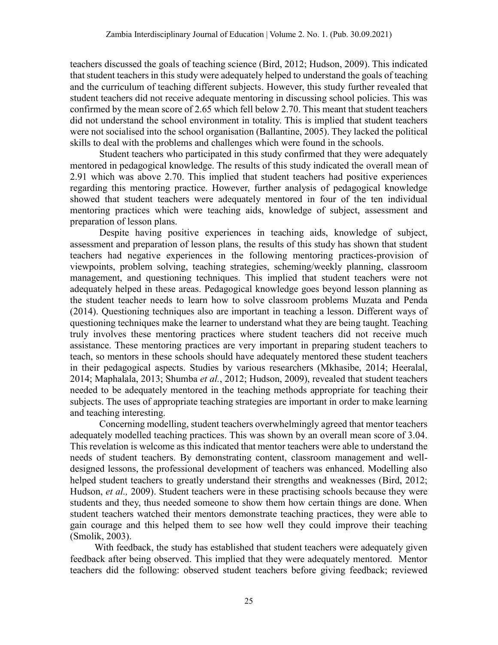teachers discussed the goals of teaching science (Bird, 2012; Hudson, 2009). This indicated that student teachers in this study were adequately helped to understand the goals of teaching and the curriculum of teaching different subjects. However, this study further revealed that student teachers did not receive adequate mentoring in discussing school policies. This was confirmed by the mean score of 2.65 which fell below 2.70. This meant that student teachers did not understand the school environment in totality. This is implied that student teachers were not socialised into the school organisation (Ballantine, 2005). They lacked the political skills to deal with the problems and challenges which were found in the schools.

Student teachers who participated in this study confirmed that they were adequately mentored in pedagogical knowledge. The results of this study indicated the overall mean of 2.91 which was above 2.70. This implied that student teachers had positive experiences regarding this mentoring practice. However, further analysis of pedagogical knowledge showed that student teachers were adequately mentored in four of the ten individual mentoring practices which were teaching aids, knowledge of subject, assessment and preparation of lesson plans.

Despite having positive experiences in teaching aids, knowledge of subject, assessment and preparation of lesson plans, the results of this study has shown that student teachers had negative experiences in the following mentoring practices-provision of viewpoints, problem solving, teaching strategies, scheming/weekly planning, classroom management, and questioning techniques. This implied that student teachers were not adequately helped in these areas. Pedagogical knowledge goes beyond lesson planning as the student teacher needs to learn how to solve classroom problems Muzata and Penda (2014). Questioning techniques also are important in teaching a lesson. Different ways of questioning techniques make the learner to understand what they are being taught. Teaching truly involves these mentoring practices where student teachers did not receive much assistance. These mentoring practices are very important in preparing student teachers to teach, so mentors in these schools should have adequately mentored these student teachers in their pedagogical aspects. Studies by various researchers (Mkhasibe, 2014; Heeralal, 2014; Maphalala, 2013; Shumba *et al.*, 2012; Hudson, 2009), revealed that student teachers needed to be adequately mentored in the teaching methods appropriate for teaching their subjects. The uses of appropriate teaching strategies are important in order to make learning and teaching interesting.

Concerning modelling, student teachers overwhelmingly agreed that mentor teachers adequately modelled teaching practices. This was shown by an overall mean score of 3.04. This revelation is welcome as this indicated that mentor teachers were able to understand the needs of student teachers. By demonstrating content, classroom management and welldesigned lessons, the professional development of teachers was enhanced. Modelling also helped student teachers to greatly understand their strengths and weaknesses (Bird, 2012; Hudson, *et al.,* 2009). Student teachers were in these practising schools because they were students and they, thus needed someone to show them how certain things are done. When student teachers watched their mentors demonstrate teaching practices, they were able to gain courage and this helped them to see how well they could improve their teaching (Smolik, 2003).

 With feedback, the study has established that student teachers were adequately given feedback after being observed. This implied that they were adequately mentored. Mentor teachers did the following: observed student teachers before giving feedback; reviewed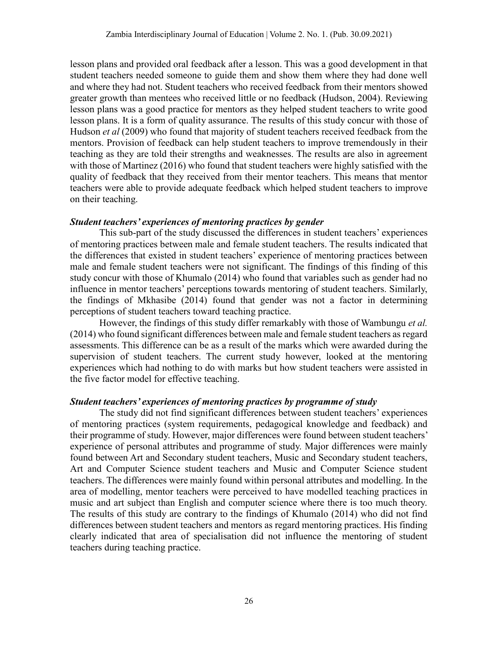lesson plans and provided oral feedback after a lesson. This was a good development in that student teachers needed someone to guide them and show them where they had done well and where they had not. Student teachers who received feedback from their mentors showed greater growth than mentees who received little or no feedback (Hudson, 2004). Reviewing lesson plans was a good practice for mentors as they helped student teachers to write good lesson plans. It is a form of quality assurance. The results of this study concur with those of Hudson *et al* (2009) who found that majority of student teachers received feedback from the mentors. Provision of feedback can help student teachers to improve tremendously in their teaching as they are told their strengths and weaknesses. The results are also in agreement with those of Martinez (2016) who found that student teachers were highly satisfied with the quality of feedback that they received from their mentor teachers. This means that mentor teachers were able to provide adequate feedback which helped student teachers to improve on their teaching.

## *Student teachers' experiences of mentoring practices by gender*

This sub-part of the study discussed the differences in student teachers' experiences of mentoring practices between male and female student teachers. The results indicated that the differences that existed in student teachers' experience of mentoring practices between male and female student teachers were not significant. The findings of this finding of this study concur with those of Khumalo (2014) who found that variables such as gender had no influence in mentor teachers' perceptions towards mentoring of student teachers. Similarly, the findings of Mkhasibe (2014) found that gender was not a factor in determining perceptions of student teachers toward teaching practice.

However, the findings of this study differ remarkably with those of Wambungu *et al.* (2014) who found significant differences between male and female student teachers as regard assessments. This difference can be as a result of the marks which were awarded during the supervision of student teachers. The current study however, looked at the mentoring experiences which had nothing to do with marks but how student teachers were assisted in the five factor model for effective teaching.

## *Student teachers' experiences of mentoring practices by programme of study*

The study did not find significant differences between student teachers' experiences of mentoring practices (system requirements, pedagogical knowledge and feedback) and their programme of study. However, major differences were found between student teachers' experience of personal attributes and programme of study. Major differences were mainly found between Art and Secondary student teachers, Music and Secondary student teachers, Art and Computer Science student teachers and Music and Computer Science student teachers. The differences were mainly found within personal attributes and modelling. In the area of modelling, mentor teachers were perceived to have modelled teaching practices in music and art subject than English and computer science where there is too much theory. The results of this study are contrary to the findings of Khumalo (2014) who did not find differences between student teachers and mentors as regard mentoring practices. His finding clearly indicated that area of specialisation did not influence the mentoring of student teachers during teaching practice.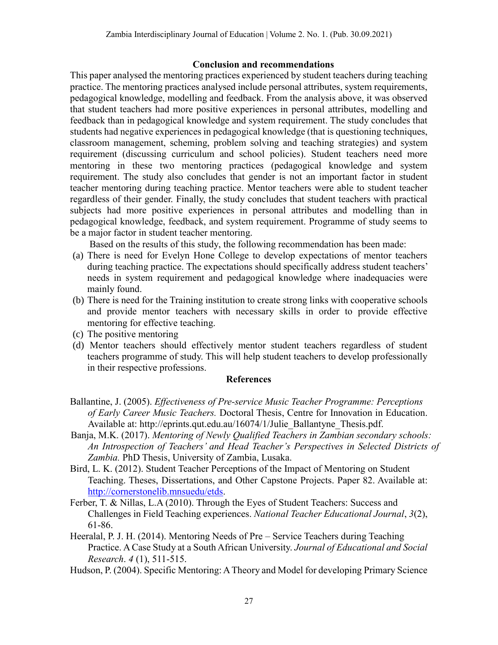## **Conclusion and recommendations**

This paper analysed the mentoring practices experienced by student teachers during teaching practice. The mentoring practices analysed include personal attributes, system requirements, pedagogical knowledge, modelling and feedback. From the analysis above, it was observed that student teachers had more positive experiences in personal attributes, modelling and feedback than in pedagogical knowledge and system requirement. The study concludes that students had negative experiences in pedagogical knowledge (that is questioning techniques, classroom management, scheming, problem solving and teaching strategies) and system requirement (discussing curriculum and school policies). Student teachers need more mentoring in these two mentoring practices (pedagogical knowledge and system requirement. The study also concludes that gender is not an important factor in student teacher mentoring during teaching practice. Mentor teachers were able to student teacher regardless of their gender. Finally, the study concludes that student teachers with practical subjects had more positive experiences in personal attributes and modelling than in pedagogical knowledge, feedback, and system requirement. Programme of study seems to be a major factor in student teacher mentoring.

Based on the results of this study, the following recommendation has been made:

- (a) There is need for Evelyn Hone College to develop expectations of mentor teachers during teaching practice. The expectations should specifically address student teachers' needs in system requirement and pedagogical knowledge where inadequacies were mainly found.
- (b) There is need for the Training institution to create strong links with cooperative schools and provide mentor teachers with necessary skills in order to provide effective mentoring for effective teaching.
- (c) The positive mentoring
- (d) Mentor teachers should effectively mentor student teachers regardless of student teachers programme of study. This will help student teachers to develop professionally in their respective professions.

## **References**

- Ballantine, J. (2005). *Effectiveness of Pre-service Music Teacher Programme: Perceptions of Early Career Music Teachers.* Doctoral Thesis, Centre for Innovation in Education. Available at: http://eprints.qut.edu.au/16074/1/Julie\_Ballantyne\_Thesis.pdf.
- Banja, M.K. (2017). *Mentoring of Newly Qualified Teachers in Zambian secondary schools: An Introspection of Teachers' and Head Teacher's Perspectives in Selected Districts of Zambia.* PhD Thesis, University of Zambia, Lusaka.
- Bird, L. K. (2012). Student Teacher Perceptions of the Impact of Mentoring on Student Teaching. Theses, Dissertations, and Other Capstone Projects. Paper 82. Available at: [http://cornerstonelib.mnsuedu/etds.](http://cornerstonelib.mnsuedu/etds)
- Ferber, T. & Nillas, L.A (2010). Through the Eyes of Student Teachers: Success and Challenges in Field Teaching experiences. *National Teacher Educational Journal*, *3*(2), 61-86.
- Heeralal, P. J. H. (2014). Mentoring Needs of Pre Service Teachers during Teaching Practice. A Case Study at a South African University. *Journal of Educational and Social Research*. *4* (1), 511-515.
- Hudson, P. (2004). Specific Mentoring: A Theory and Model for developing Primary Science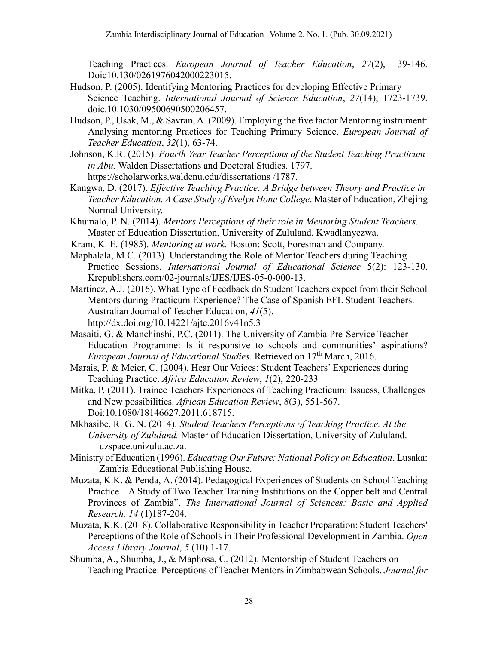Teaching Practices. *European Journal of Teacher Education*, *27*(2), 139-146. Doic10.130/0261976042000223015.

- Hudson, P. (2005). Identifying Mentoring Practices for developing Effective Primary Science Teaching. *International Journal of Science Education*, *27*(14), 1723-1739. doic.10.1030/09500690500206457.
- Hudson, P., Usak, M., & Savran, A. (2009). Employing the five factor Mentoring instrument: Analysing mentoring Practices for Teaching Primary Science. *European Journal of Teacher Education*, *32*(1), 63-74.
- Johnson, K.R. (2015). *Fourth Year Teacher Perceptions of the Student Teaching Practicum in Abu.* Walden Dissertations and Doctoral Studies. 1797. <https://scholarworks.waldenu.edu/dissertations> /1787.
- Kangwa, D. (2017). *Effective Teaching Practice: A Bridge between Theory and Practice in Teacher Education. A Case Study of Evelyn Hone College*. Master of Education, Zhejing Normal University.
- Khumalo, P. N. (2014). *Mentors Perceptions of their role in Mentoring Student Teachers.* Master of Education Dissertation, University of Zululand, Kwadlanyezwa.
- Kram, K. E. (1985). *Mentoring at work.* Boston: Scott, Foresman and Company.
- Maphalala, M.C. (2013). Understanding the Role of Mentor Teachers during Teaching Practice Sessions. *International Journal of Educational Science* 5(2): 123-130. Krepublishers.com/02-journals/IJES/IJES-05-0-000-13.
- Martinez, A.J. (2016). What Type of Feedback do Student Teachers expect from their School Mentors during Practicum Experience? The Case of Spanish EFL Student Teachers. Australian Journal of Teacher Education, *41*(5). http://dx.doi.org/10.14221/ajte.2016v41n5.3
- Masaiti, G. & Manchinshi, P.C. (2011). The University of Zambia Pre-Service Teacher Education Programme: Is it responsive to schools and communities' aspirations? *European Journal of Educational Studies*. Retrieved on 17<sup>th</sup> March, 2016.
- Marais, P. & Meier, C. (2004). Hear Our Voices: Student Teachers' Experiences during Teaching Practice. *Africa Education Review*, *1*(2), 220-233
- Mitka, P. (2011). Trainee Teachers Experiences of Teaching Practicum: Issuess, Challenges and New possibilities. *African Education Review*, *8*(3), 551-567. Doi:10.1080/18146627.2011.618715.
- Mkhasibe, R. G. N. (2014). *Student Teachers Perceptions of Teaching Practice. At the University of Zululand.* Master of Education Dissertation, University of Zululand. uzspace.unizulu.ac.za.
- Ministry of Education (1996). *Educating Our Future: National Policy on Education*. Lusaka: Zambia Educational Publishing House.
- Muzata, K.K. & Penda, A. (2014). Pedagogical Experiences of Students on School Teaching Practice – A Study of Two Teacher Training Institutions on the Copper belt and Central Provinces of Zambia". *The International Journal of Sciences: Basic and Applied Research, 14* (1)187-204.
- Muzata, K.K. (2018). Collaborative Responsibility in Teacher Preparation: Student Teachers' Perceptions of the Role of Schools in Their Professional Development in Zambia. *Open Access Library Journal*, *5* (10) 1-17.
- Shumba, A., Shumba, J., & Maphosa, C. (2012). Mentorship of Student Teachers on Teaching Practice: Perceptions of Teacher Mentors in Zimbabwean Schools. *Journal for*